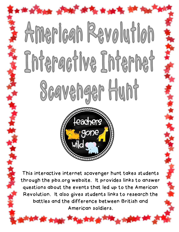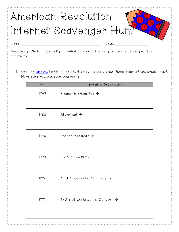## American Revolution Internet Scavenger Hur

Name: \_\_\_\_\_\_\_\_\_\_\_\_\_\_\_\_\_\_\_\_\_\_\_\_\_\_\_\_\_\_ Date: \_\_\_\_\_\_\_\_\_\_\_\_\_

Directions: Click on the links provided to access the websites needed to answer the questions.

1. Use the [timeline](http://www.pbs.org/ktca/liberty/chronicle_timeline.html) to fill in the chart below. Write a brief description of the event listed. Make sure you use your own words!

| Year | Event & Description                         |
|------|---------------------------------------------|
| 1763 | French & Indian War $\rightarrow$           |
| 1765 | Stamp Act $\rightarrow$                     |
| 1770 | Boston Massacre $\rightarrow$               |
| 1773 | Boston Tea Party $\rightarrow$              |
| 1774 | First Continental Congress $\rightarrow$    |
| 1775 | Battle of Lexington & Concord $\rightarrow$ |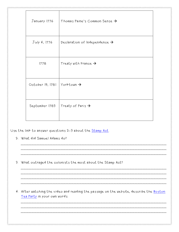| January 1776     | Thomas Paine's Common Sense $\rightarrow$ |  |
|------------------|-------------------------------------------|--|
| July 4, 1776     | Declaration of Independence $\rightarrow$ |  |
| 1778             | Treaty with France $\rightarrow$          |  |
| October 19, 1781 | $Y$ orktown $\rightarrow$                 |  |
| September 1783   | Treaty of Paris $\rightarrow$             |  |

Use the link to answer questions 2-3 about the <u>Stamp Act</u>.

- 2. What did Samuel Adams do?
- 3. What outraged the colonists the most about the Stamp Act?

4. After watching the video and reading the passage on the website, describe the <u>Boston</u> [Tea Party](http://www.pbs.org/ktca/liberty/popup_teaparty.html) in your own words.

\_\_\_\_\_\_\_\_\_\_\_\_\_\_\_\_\_\_\_\_\_\_\_\_\_\_\_\_\_\_\_\_\_\_\_\_\_\_\_\_\_\_\_\_\_\_\_\_\_\_\_\_\_\_\_ \_\_\_\_\_\_\_\_\_\_\_\_\_\_\_\_\_\_\_\_\_\_\_\_\_\_\_\_\_\_\_\_\_\_\_\_\_\_\_\_\_\_\_\_\_\_\_\_\_\_\_\_\_\_\_ \_\_\_\_\_\_\_\_\_\_\_\_\_\_\_\_\_\_\_\_\_\_\_\_\_\_\_\_\_\_\_\_\_\_\_\_\_\_\_\_\_\_\_\_\_\_\_\_\_\_\_\_\_\_\_

\_\_\_\_\_\_\_\_\_\_\_\_\_\_\_\_\_\_\_\_\_\_\_\_\_\_\_\_\_\_\_\_\_\_\_\_\_\_\_\_\_\_\_\_\_\_\_\_\_\_\_\_\_\_\_ \_\_\_\_\_\_\_\_\_\_\_\_\_\_\_\_\_\_\_\_\_\_\_\_\_\_\_\_\_\_\_\_\_\_\_\_\_\_\_\_\_\_\_\_\_\_\_\_\_\_\_\_\_\_\_ \_\_\_\_\_\_\_\_\_\_\_\_\_\_\_\_\_\_\_\_\_\_\_\_\_\_\_\_\_\_\_\_\_\_\_\_\_\_\_\_\_\_\_\_\_\_\_\_\_\_\_\_\_\_\_

\_\_\_\_\_\_\_\_\_\_\_\_\_\_\_\_\_\_\_\_\_\_\_\_\_\_\_\_\_\_\_\_\_\_\_\_\_\_\_\_\_\_\_\_\_\_\_\_\_\_\_\_\_\_\_ \_\_\_\_\_\_\_\_\_\_\_\_\_\_\_\_\_\_\_\_\_\_\_\_\_\_\_\_\_\_\_\_\_\_\_\_\_\_\_\_\_\_\_\_\_\_\_\_\_\_\_\_\_\_\_ \_\_\_\_\_\_\_\_\_\_\_\_\_\_\_\_\_\_\_\_\_\_\_\_\_\_\_\_\_\_\_\_\_\_\_\_\_\_\_\_\_\_\_\_\_\_\_\_\_\_\_\_\_\_\_ \_\_\_\_\_\_\_\_\_\_\_\_\_\_\_\_\_\_\_\_\_\_\_\_\_\_\_\_\_\_\_\_\_\_\_\_\_\_\_\_\_\_\_\_\_\_\_\_\_\_\_\_\_\_\_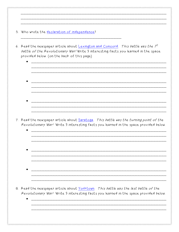| 5. Who wrote the declaration of independence?                                                                                                                                                                                |
|------------------------------------------------------------------------------------------------------------------------------------------------------------------------------------------------------------------------------|
| 6. Read the newspaper article about Lexington and Concord. This battle was the $l^{st}$<br>battle of the Revolutionary War! Write 3 interesting facts you learned in the space<br>provided below. (on the back of this page) |
|                                                                                                                                                                                                                              |
|                                                                                                                                                                                                                              |
| 7. Read the newspaper article about Saratoga. This battle was the turning point of the<br>Revolutionary War! Write 3 interesting facts you learned in the space provided below.                                              |
|                                                                                                                                                                                                                              |
|                                                                                                                                                                                                                              |
|                                                                                                                                                                                                                              |
| 8. Read the newspaper article about Yorktown. This battle was the last battle of the<br>Revolutionary War! Write 3 interesting facts you learned in the space provided below.                                                |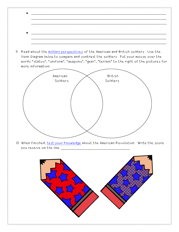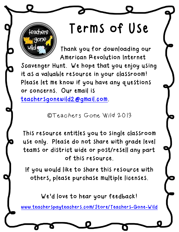## Terms of Use

Thank you for downloading our American Revolution Internet

Scavenger Hunt. We hope that you enjoy using it as a valuable resource in your classroom! Please let me know if you have any questions or concerns. Our email is [teachersgonewild2@gmail.com.](mailto:teachersgonewild2@gmail.com)

©Teachers Gone Wild 2013

This resource entitles you to single classroom use only. Please do not share with grade level teams or district wide or post/resell any part of this resource.

If you would like to share this resource with others, please purchase multiple licenses.

We'd love to hear your feedback!

[www.teacherspayteachers.com/Store/Teachers-Gone-Wild](file:///C:/Documents%20and%20Settings/karaking/Local%20Settings/Temporary%20Internet%20Files/Content.Outlook/VSY9B837/www.teacherspayteachers.com/Store/Teachers-Gone-Wild)